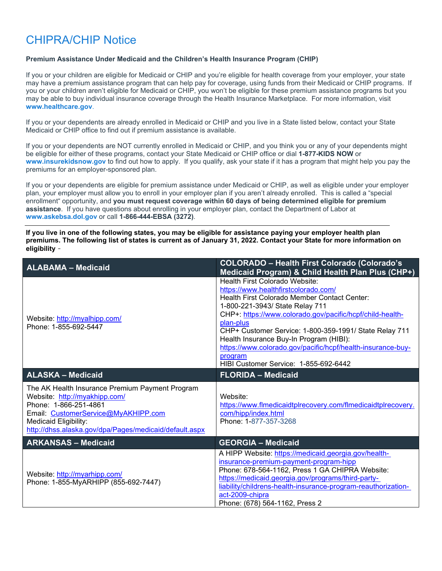## CHIPRA/CHIP Notice

## **Premium Assistance Under Medicaid and the Children's Health Insurance Program (CHIP)**

If you or your children are eligible for Medicaid or CHIP and you're eligible for health coverage from your employer, your state may have a premium assistance program that can help pay for coverage, using funds from their Medicaid or CHIP programs. If you or your children aren't eligible for Medicaid or CHIP, you won't be eligible for these premium assistance programs but you may be able to buy individual insurance coverage through the Health Insurance Marketplace. For more information, visit **[www.healthcare.gov](http://www.healthcare.gov/)**.

If you or your dependents are already enrolled in Medicaid or CHIP and you live in a State listed below, contact your State Medicaid or CHIP office to find out if premium assistance is available.

If you or your dependents are NOT currently enrolled in Medicaid or CHIP, and you think you or any of your dependents might be eligible for either of these programs, contact your State Medicaid or CHIP office or dial **1-877-KIDS NOW** or **[www.insurekidsnow.gov](http://www.insurekidsnow.gov/)** to find out how to apply. If you qualify, ask your state if it has a program that might help you pay the premiums for an employer-sponsored plan.

If you or your dependents are eligible for premium assistance under Medicaid or CHIP, as well as eligible under your employer plan, your employer must allow you to enroll in your employer plan if you aren't already enrolled. This is called a "special enrollment" opportunity, and **you must request coverage within 60 days of being determined eligible for premium assistance**. If you have questions about enrolling in your employer plan, contact the Department of Labor at **[www.askebsa.dol.gov](http://www.askebsa.dol.gov/)** or call **1-866-444-EBSA (3272)**.

**If you live in one of the following states, you may be eligible for assistance paying your employer health plan premiums. The following list of states is current as of January 31, 2022. Contact your State for more information on eligibility** –

| <b>ALABAMA - Medicaid</b>                                                                                                                                                                                                           | <b>COLORADO - Health First Colorado (Colorado's</b><br>Medicaid Program) & Child Health Plan Plus (CHP+)                                                                                                                                                                                                                                                                                                                                                    |
|-------------------------------------------------------------------------------------------------------------------------------------------------------------------------------------------------------------------------------------|-------------------------------------------------------------------------------------------------------------------------------------------------------------------------------------------------------------------------------------------------------------------------------------------------------------------------------------------------------------------------------------------------------------------------------------------------------------|
| Website: http://myalhipp.com/<br>Phone: 1-855-692-5447                                                                                                                                                                              | Health First Colorado Website:<br>https://www.healthfirstcolorado.com/<br>Health First Colorado Member Contact Center:<br>1-800-221-3943/ State Relay 711<br>CHP+: https://www.colorado.gov/pacific/hcpf/child-health-<br>plan-plus<br>CHP+ Customer Service: 1-800-359-1991/ State Relay 711<br>Health Insurance Buy-In Program (HIBI):<br>https://www.colorado.gov/pacific/hcpf/health-insurance-buy-<br>program<br>HIBI Customer Service: 1-855-692-6442 |
| <b>ALASKA - Medicaid</b>                                                                                                                                                                                                            | <b>FLORIDA - Medicaid</b>                                                                                                                                                                                                                                                                                                                                                                                                                                   |
| The AK Health Insurance Premium Payment Program<br>Website: http://myakhipp.com/<br>Phone: 1-866-251-4861<br>Email: CustomerService@MyAKHIPP.com<br>Medicaid Eligibility:<br>http://dhss.alaska.gov/dpa/Pages/medicaid/default.aspx | Website:<br>https://www.flmedicaidtplrecovery.com/flmedicaidtplrecovery.<br>com/hipp/index.html<br>Phone: 1-877-357-3268                                                                                                                                                                                                                                                                                                                                    |
| <b>ARKANSAS - Medicaid</b>                                                                                                                                                                                                          | <b>GEORGIA - Medicaid</b>                                                                                                                                                                                                                                                                                                                                                                                                                                   |
| Website: http://myarhipp.com/<br>Phone: 1-855-MyARHIPP (855-692-7447)                                                                                                                                                               | A HIPP Website: https://medicaid.georgia.gov/health-<br>insurance-premium-payment-program-hipp<br>Phone: 678-564-1162, Press 1 GA CHIPRA Website:<br>https://medicaid.georgia.gov/programs/third-party-<br>liability/childrens-health-insurance-program-reauthorization-<br>act-2009-chipra<br>Phone: (678) 564-1162, Press 2                                                                                                                               |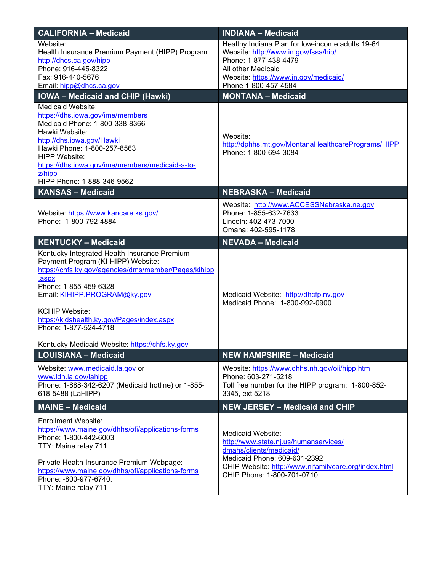| <b>CALIFORNIA - Medicaid</b>                                                                                                                                                                                                                                                                                 | <b>INDIANA - Medicaid</b>                                                                                                                                                                                   |
|--------------------------------------------------------------------------------------------------------------------------------------------------------------------------------------------------------------------------------------------------------------------------------------------------------------|-------------------------------------------------------------------------------------------------------------------------------------------------------------------------------------------------------------|
| Website:<br>Health Insurance Premium Payment (HIPP) Program<br>http://dhcs.ca.gov/hipp<br>Phone: 916-445-8322<br>Fax: 916-440-5676<br>Email: hipp@dhcs.ca.gov                                                                                                                                                | Healthy Indiana Plan for low-income adults 19-64<br>Website: http://www.in.gov/fssa/hip/<br>Phone: 1-877-438-4479<br>All other Medicaid<br>Website: https://www.in.gov/medicaid/<br>Phone 1-800-457-4584    |
| <b>IOWA - Medicaid and CHIP (Hawki)</b>                                                                                                                                                                                                                                                                      | <b>MONTANA - Medicaid</b>                                                                                                                                                                                   |
| Medicaid Website:<br>https://dhs.iowa.gov/ime/members<br>Medicaid Phone: 1-800-338-8366<br>Hawki Website:<br>http://dhs.iowa.gov/Hawki<br>Hawki Phone: 1-800-257-8563<br><b>HIPP Website:</b><br>https://dhs.iowa.gov/ime/members/medicaid-a-to-<br>$Z/h$ ipp<br>HIPP Phone: 1-888-346-9562                  | Website:<br>http://dphhs.mt.gov/MontanaHealthcarePrograms/HIPP<br>Phone: 1-800-694-3084                                                                                                                     |
| <b>KANSAS - Medicaid</b>                                                                                                                                                                                                                                                                                     | <b>NEBRASKA - Medicaid</b>                                                                                                                                                                                  |
| Website: https://www.kancare.ks.gov/<br>Phone: 1-800-792-4884                                                                                                                                                                                                                                                | Website: http://www.ACCESSNebraska.ne.gov<br>Phone: 1-855-632-7633<br>Lincoln: 402-473-7000<br>Omaha: 402-595-1178                                                                                          |
| <b>KENTUCKY - Medicaid</b>                                                                                                                                                                                                                                                                                   | <b>NEVADA - Medicaid</b>                                                                                                                                                                                    |
| Kentucky Integrated Health Insurance Premium<br>Payment Program (KI-HIPP) Website:<br>https://chfs.ky.gov/agencies/dms/member/Pages/kihipp<br>.aspx<br>Phone: 1-855-459-6328<br>Email: KIHIPP.PROGRAM@ky.gov<br><b>KCHIP Website:</b><br>https://kidshealth.ky.gov/Pages/index.aspx<br>Phone: 1-877-524-4718 | Medicaid Website: http://dhcfp.nv.gov<br>Medicaid Phone: 1-800-992-0900                                                                                                                                     |
| Kentucky Medicaid Website: https://chfs.ky.gov<br><b>LOUISIANA - Medicaid</b>                                                                                                                                                                                                                                | <b>NEW HAMPSHIRE - Medicaid</b>                                                                                                                                                                             |
| Website: www.medicaid.la.gov or<br>www.ldh.la.gov/lahipp<br>Phone: 1-888-342-6207 (Medicaid hotline) or 1-855-<br>618-5488 (LaHIPP)                                                                                                                                                                          | Website: https://www.dhhs.nh.gov/oii/hipp.htm<br>Phone: 603-271-5218<br>Toll free number for the HIPP program: 1-800-852-<br>3345, ext 5218                                                                 |
| <b>MAINE - Medicaid</b>                                                                                                                                                                                                                                                                                      | <b>NEW JERSEY - Medicaid and CHIP</b>                                                                                                                                                                       |
| <b>Enrollment Website:</b><br>https://www.maine.gov/dhhs/ofi/applications-forms<br>Phone: 1-800-442-6003<br>TTY: Maine relay 711<br>Private Health Insurance Premium Webpage:<br>https://www.maine.gov/dhhs/ofi/applications-forms<br>Phone: -800-977-6740.<br>TTY: Maine relay 711                          | Medicaid Website:<br>http://www.state.nj.us/humanservices/<br>dmahs/clients/medicaid/<br>Medicaid Phone: 609-631-2392<br>CHIP Website: http://www.njfamilycare.org/index.html<br>CHIP Phone: 1-800-701-0710 |